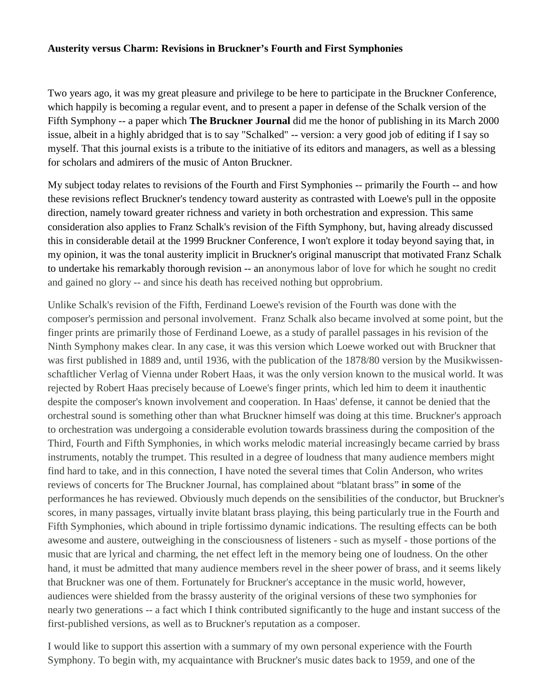## **Austerity versus Charm: Revisions in Bruckner's Fourth and First Symphonies**

Two years ago, it was my great pleasure and privilege to be here to participate in the Bruckner Conference, which happily is becoming a regular event, and to present a paper in defense of the Schalk version of the Fifth Symphony -- a paper which **The Bruckner Journal** did me the honor of publishing in its March 2000 issue, albeit in a highly abridged that is to say "Schalked" -- version: a very good job of editing if I say so myself. That this journal exists is a tribute to the initiative of its editors and managers, as well as a blessing for scholars and admirers of the music of Anton Bruckner.

My subject today relates to revisions of the Fourth and First Symphonies -- primarily the Fourth -- and how these revisions reflect Bruckner's tendency toward austerity as contrasted with Loewe's pull in the opposite direction, namely toward greater richness and variety in both orchestration and expression. This same consideration also applies to Franz Schalk's revision of the Fifth Symphony, but, having already discussed this in considerable detail at the 1999 Bruckner Conference, I won't explore it today beyond saying that, in my opinion, it was the tonal austerity implicit in Bruckner's original manuscript that motivated Franz Schalk to undertake his remarkably thorough revision --·an anonymous labor of love for which he sought no credit and gained no glory -- and since his death has received nothing but opprobrium.

Unlike Schalk's revision of the Fifth, Ferdinand Loewe's revision of the Fourth was done with the composer's permission and personal involvement. Franz Schalk also became involved at some point, but the finger prints are primarily those of Ferdinand Loewe, as a study of parallel passages in his revision of the Ninth Symphony makes clear. In any case, it was this version which Loewe worked out with Bruckner that was first published in 1889 and, until 1936, with the publication of the 1878/80 version by the Musikwissenschaftlicher Verlag of Vienna under Robert Haas, it was the only version known to the musical world. It was rejected by Robert Haas precisely because of Loewe's finger prints, which led him to deem it inauthentic despite the composer's known involvement and cooperation. In Haas' defense, it cannot be denied that the orchestral sound is something other than what Bruckner himself was doing at this time. Bruckner's approach to orchestration was undergoing a considerable evolution towards brassiness during the composition of the Third, Fourth and Fifth Symphonies, in which works melodic material increasingly became carried by brass instruments, notably the trumpet. This resulted in a degree of loudness that many audience members might find hard to take, and in this connection, I have noted the several times that Colin Anderson, who writes reviews of concerts for The Bruckner Journal, has complained about "blatant brass" in some of the performances he has reviewed. Obviously much depends on the sensibilities of the conductor, but Bruckner's scores, in many passages, virtually invite blatant brass playing, this being particularly true in the Fourth and Fifth Symphonies, which abound in triple fortissimo dynamic indications. The resulting effects can be both awesome and austere, outweighing in the consciousness of listeners - such as myself - those portions of the music that are lyrical and charming, the net effect left in the memory being one of loudness. On the other hand, it must be admitted that many audience members revel in the sheer power of brass, and it seems likely that Bruckner was one of them. Fortunately for Bruckner's acceptance in the music world, however, audiences were shielded from the brassy austerity of the original versions of these two symphonies for nearly two generations -- a fact which I think contributed significantly to the huge and instant success of the first-published versions, as well as to Bruckner's reputation as a composer.

I would like to support this assertion with a summary of my own personal experience with the Fourth Symphony. To begin with, my acquaintance with Bruckner's music dates back to 1959, and one of the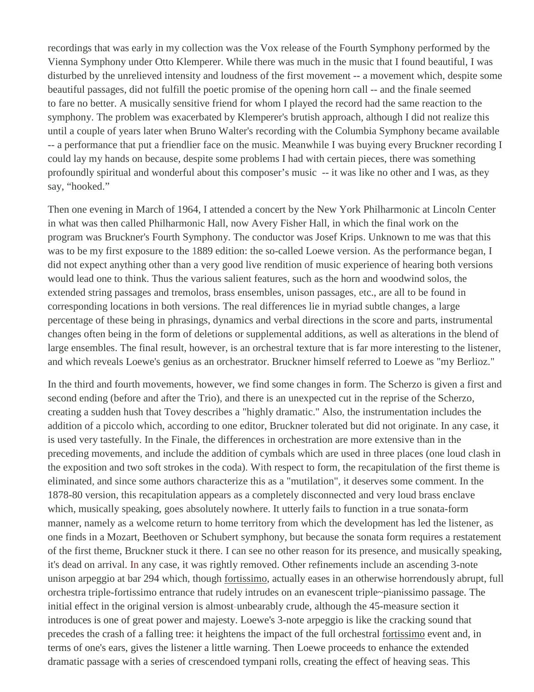recordings that was early in my collection was the Vox release of the Fourth Symphony performed by the Vienna Symphony under Otto Klemperer. While there was much in the music that I found beautiful, I was disturbed by the unrelieved intensity and loudness of the first movement -- a movement which, despite some beautiful passages, did not fulfill the poetic promise of the opening horn call -- and the finale seemed to fare no better. A musically sensitive friend for whom I played the record had the same reaction to the symphony. The problem was exacerbated by Klemperer's brutish approach, although I did not realize this until a couple of years later when Bruno Walter's recording with the Columbia Symphony became available -- a performance that put a friendlier face on the music. Meanwhile I was buying every Bruckner recording I could lay my hands on because, despite some problems I had with certain pieces, there was something profoundly spiritual and wonderful about this composer's music -- it was like no other and I was, as they say, "hooked."

Then one evening in March of 1964, I attended a concert by the New York Philharmonic at Lincoln Center in what was then called Philharmonic Hall, now Avery Fisher Hall, in which the final work on the program was Bruckner's Fourth Symphony. The conductor was Josef Krips. Unknown to me was that this was to be my first exposure to the 1889 edition: the so-called Loewe version. As the performance began, I did not expect anything other than a very good live rendition of music experience of hearing both versions would lead one to think. Thus the various salient features, such as the horn and woodwind solos, the extended string passages and tremolos, brass ensembles, unison passages, etc., are all to be found in corresponding locations in both versions. The real differences lie in myriad subtle changes, a large percentage of these being in phrasings, dynamics and verbal directions in the score and parts, instrumental changes often being in the form of deletions or supplemental additions, as well as alterations in the blend of large ensembles. The final result, however, is an orchestral texture that is far more interesting to the listener, and which reveals Loewe's genius as an orchestrator. Bruckner himself referred to Loewe as "my Berlioz."

In the third and fourth movements, however, we find some changes in form. The Scherzo is given a first and second ending (before and after the Trio), and there is an unexpected cut in the reprise of the Scherzo, creating a sudden hush that Tovey describes a "highly dramatic." Also, the instrumentation includes the addition of a piccolo which, according to one editor, Bruckner tolerated but did not originate. In any case, it is used very tastefully. In the Finale, the differences in orchestration are more extensive than in the preceding movements, and include the addition of cymbals which are used in three places (one loud clash in the exposition and two soft strokes in the coda). With respect to form, the recapitulation of the first theme is eliminated, and since some authors characterize this as a "mutilation", it deserves some comment. In the 1878-80 version, this recapitulation appears as a completely disconnected and very loud brass enclave which, musically speaking, goes absolutely nowhere. It utterly fails to function in a true sonata-form manner, namely as a welcome return to home territory from which the development has led the listener, as one finds in a Mozart, Beethoven or Schubert symphony, but because the sonata form requires a restatement of the first theme, Bruckner stuck it there. I can see no other reason for its presence, and musically speaking, it's dead on arrival. In any case, it was rightly removed. Other refinements include an ascending 3-note unison arpeggio at bar 294 which, though fortissimo, actually eases in an otherwise horrendously abrupt, full orchestra triple-fortissimo entrance that rudely intrudes on an evanescent triple~pianissimo passage. The initial effect in the original version is almost-unbearably crude, although the 45-measure section it introduces is one of great power and majesty. Loewe's 3-note arpeggio is like the cracking sound that precedes the crash of a falling tree: it heightens the impact of the full orchestral fortissimo event and, in terms of one's ears, gives the listener a little warning. Then Loewe proceeds to enhance the extended dramatic passage with a series of crescendoed tympani rolls, creating the effect of heaving seas. This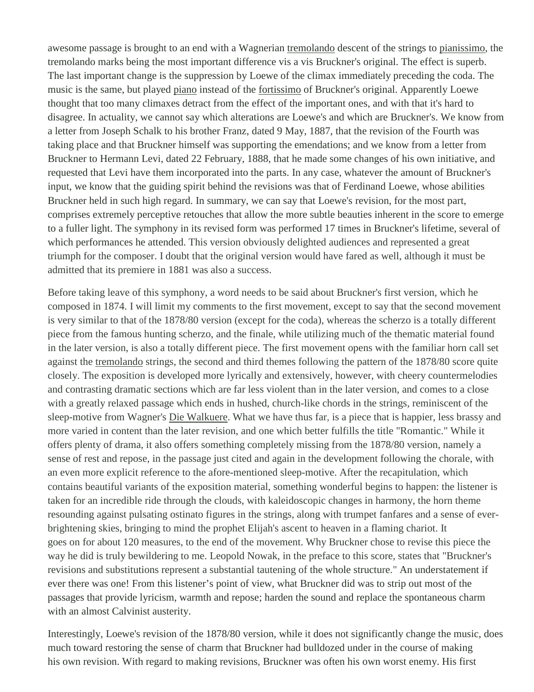awesome passage is brought to an end with a Wagnerian tremolando descent of the strings to pianissimo, the tremolando marks being the most important difference vis a vis Bruckner's original. The effect is superb. The last important change is the suppression by Loewe of the climax immediately preceding the coda. The music is the same, but played piano instead of the fortissimo of Bruckner's original. Apparently Loewe thought that too many climaxes detract from the effect of the important ones, and with that it's hard to disagree. In actuality, we cannot say which alterations are Loewe's and which are Bruckner's. We know from a letter from Joseph Schalk to his brother Franz, dated 9 May, 1887, that the revision of the Fourth was taking place and that Bruckner himself was supporting the emendations; and we know from a letter from Bruckner to Hermann Levi, dated 22 February, 1888, that he made some changes of his own initiative, and requested that Levi have them incorporated into the parts. In any case, whatever the amount of Bruckner's input, we know that the guiding spirit behind the revisions was that of Ferdinand Loewe, whose abilities Bruckner held in such high regard. In summary, we can say that Loewe's revision, for the most part, comprises extremely perceptive retouches that allow the more subtle beauties inherent in the score to emerge to a fuller light. The symphony in its revised form was performed 17 times in Bruckner's lifetime, several of which performances he attended. This version obviously delighted audiences and represented a great triumph for the composer. I doubt that the original version would have fared as well, although it must be admitted that its premiere in 1881 was also a success.

Before taking leave of this symphony, a word needs to be said about Bruckner's first version, which he composed in 1874. I will limit my comments to the first movement, except to say that the second movement is very similar to that of the 1878/80 version (except for the coda), whereas the scherzo is a totally different piece from the famous hunting scherzo, and the finale, while utilizing much of the thematic material found in the later version, is also a totally different piece. The first movement opens with the familiar horn call set against the tremolando strings, the second and third themes following the pattern of the 1878/80 score quite closely. The exposition is developed more lyrically and extensively, however, with cheery countermelodies and contrasting dramatic sections which are far less violent than in the later version, and comes to a close with a greatly relaxed passage which ends in hushed, church-like chords in the strings, reminiscent of the sleep-motive from Wagner's Die Walkuere. What we have thus far, is a piece that is happier, less brassy and more varied in content than the later revision, and one which better fulfills the title "Romantic." While it offers plenty of drama, it also offers something completely missing from the 1878/80 version, namely a sense of rest and repose, in the passage just cited and again in the development following the chorale, with an even more explicit reference to the afore-mentioned sleep-motive. After the recapitulation, which contains beautiful variants of the exposition material, something wonderful begins to happen: the listener is taken for an incredible ride through the clouds, with kaleidoscopic changes in harmony, the horn theme resounding against pulsating ostinato figures in the strings, along with trumpet fanfares and a sense of everbrightening skies, bringing to mind the prophet Elijah's ascent to heaven in a flaming chariot. It goes on for about 120 measures, to the end of the movement. Why Bruckner chose to revise this piece the way he did is truly bewildering to me. Leopold Nowak, in the preface to this score, states that "Bruckner's revisions and substitutions represent a substantial tautening of the whole structure." An understatement if ever there was one! From this listener's point of view, what Bruckner did was to strip out most of the passages that provide lyricism, warmth and repose; harden the sound and replace the spontaneous charm with an almost Calvinist austerity.

Interestingly, Loewe's revision of the 1878/80 version, while it does not significantly change the music, does much toward restoring the sense of charm that Bruckner had bulldozed under in the course of making his own revision. With regard to making revisions, Bruckner was often his own worst enemy. His first